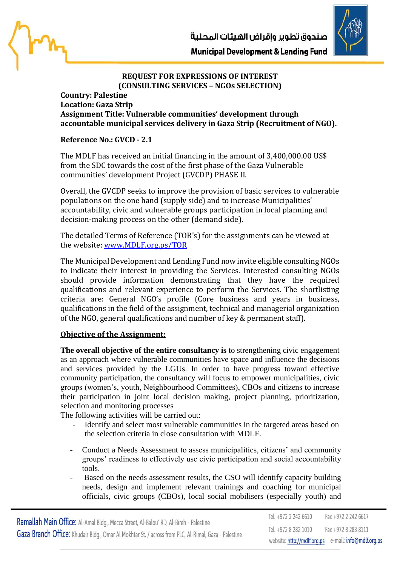



## **REQUEST FOR EXPRESSIONS OF INTEREST (CONSULTING SERVICES – NGOs SELECTION)**

## **Country: Palestine Location: Gaza Strip Assignment Title: Vulnerable communities' development through accountable municipal services delivery in Gaza Strip (Recruitment of NGO).**

## **Reference No.: GVCD - 2.1**

The MDLF has received an initial financing in the amount of 3,400,000.00 US\$ from the SDC towards the cost of the first phase of the Gaza Vulnerable communities' development Project (GVCDP) PHASE II.

Overall, the GVCDP seeks to improve the provision of basic services to vulnerable populations on the one hand (supply side) and to increase Municipalities' accountability, civic and vulnerable groups participation in local planning and decision-making process on the other (demand side).

The detailed Terms of Reference (TOR's) for the assignments can be viewed at the website: [www.MDLF.org.ps/TOR](http://www.mdlf.org.ps/TOR)

The Municipal Development and Lending Fund now invite eligible consulting NGOs to indicate their interest in providing the Services. Interested consulting NGOs should provide information demonstrating that they have the required qualifications and relevant experience to perform the Services. The shortlisting criteria are: General NGO's profile (Core business and years in business, qualifications in the field of the assignment, technical and managerial organization of the NGO, general qualifications and number of key & permanent staff).

## **Objective of the Assignment:**

**The overall objective of the entire consultancy is** to strengthening civic engagement as an approach where vulnerable communities have space and influence the decisions and services provided by the LGUs. In order to have progress toward effective community participation, the consultancy will focus to empower municipalities, civic groups (women's, youth, Neighbourhood Committees), CBOs and citizens to increase their participation in joint local decision making, project planning, prioritization, selection and monitoring processes

The following activities will be carried out:

- Identify and select most vulnerable communities in the targeted areas based on the selection criteria in close consultation with MDLF.
- Conduct a Needs Assessment to assess municipalities, citizens' and community groups' readiness to effectively use civic participation and social accountability tools.
- Based on the needs assessment results, the CSO will identify capacity building needs, design and implement relevant trainings and coaching for municipal officials, civic groups (CBOs), local social mobilisers (especially youth) and